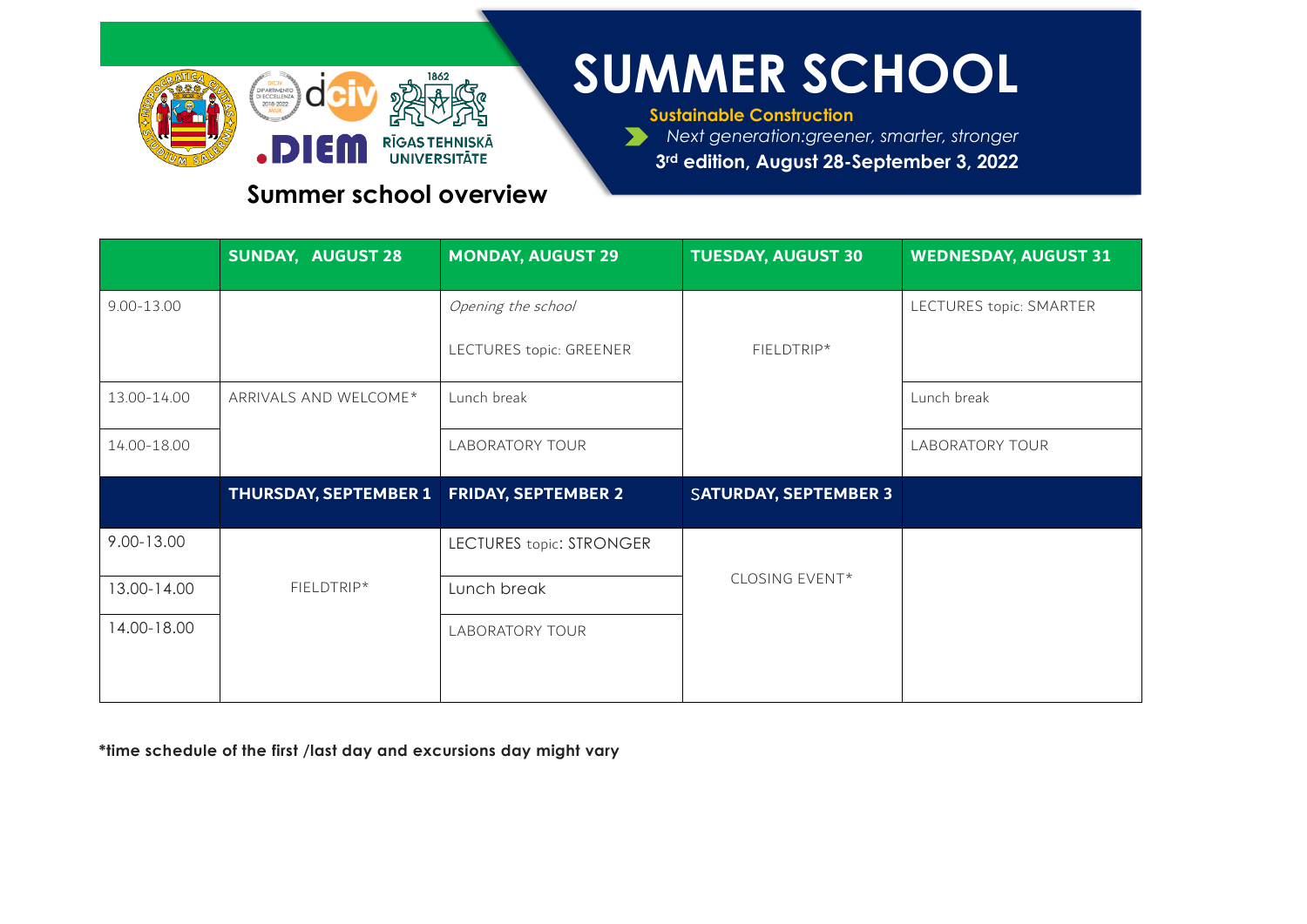

# **SUMMER SCHOOL**

**Sustainable Construction** *Next generation:greener, smarter, stronger*

**3rd edition, August 28-September 3, 2022**

#### **Summer school overview**

|                | <b>SUNDAY, AUGUST 28</b>                  | <b>MONDAY, AUGUST 29</b>        | <b>TUESDAY, AUGUST 30</b>    | <b>WEDNESDAY, AUGUST 31</b> |
|----------------|-------------------------------------------|---------------------------------|------------------------------|-----------------------------|
| $9.00 - 13.00$ |                                           | Opening the school              |                              | LECTURES topic: SMARTER     |
|                |                                           | LECTURES topic: GREENER         | FIELDTRIP*                   |                             |
| 13.00-14.00    | ARRIVALS AND WELCOME*                     | Lunch break                     |                              | Lunch break                 |
| 14.00-18.00    |                                           | <b>LABORATORY TOUR</b>          |                              | <b>LABORATORY TOUR</b>      |
|                | THURSDAY, SEPTEMBER 1 FRIDAY, SEPTEMBER 2 |                                 | <b>SATURDAY, SEPTEMBER 3</b> |                             |
| 9.00-13.00     |                                           | <b>LECTURES topic: STRONGER</b> |                              |                             |
| 13.00-14.00    | FIELDTRIP*                                | Lunch break                     | CLOSING EVENT*               |                             |
| 14.00-18.00    |                                           | <b>LABORATORY TOUR</b>          |                              |                             |
|                |                                           |                                 |                              |                             |

**\*time schedule of the first /last day and excursions day might vary**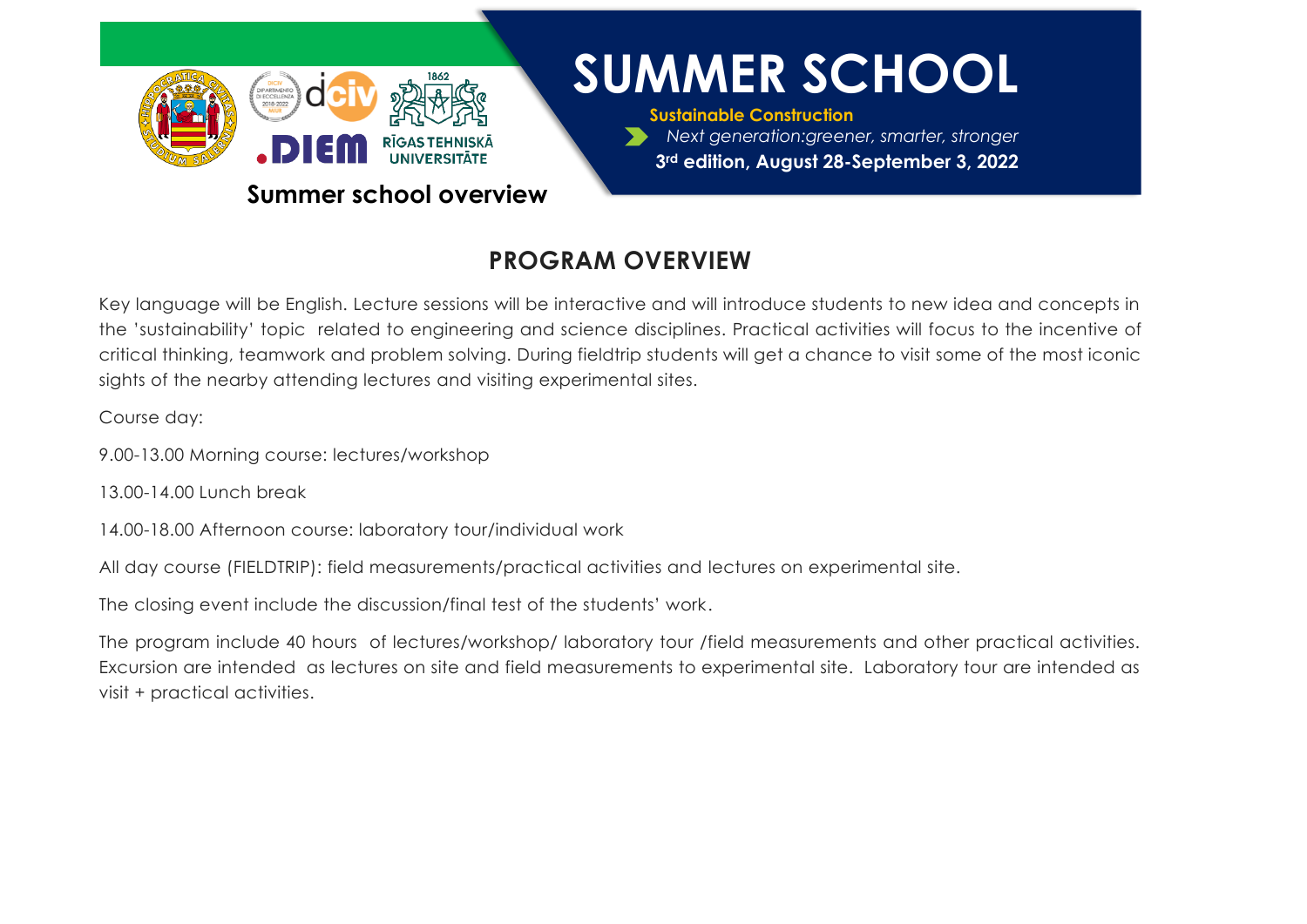

#### **Summer school overview**

# **SUMMER SCHOOL**

**Sustainable Construction** *Next generation:greener, smarter, stronger* **3rd edition, August 28-September 3, 2022**

### **PROGRAM OVERVIEW**

Key language will be English. Lecture sessions will be interactive and will introduce students to new idea and concepts in the 'sustainability' topic related to engineering and science disciplines. Practical activities will focus to the incentive of critical thinking, teamwork and problem solving. During fieldtrip students will get a chance to visit some of the most iconic sights of the nearby attending lectures and visiting experimental sites.

Course day:

9.00-13.00 Morning course: lectures/workshop

13.00-14.00 Lunch break

14.00-18.00 Afternoon course: laboratory tour/individual work

All day course (FIELDTRIP): field measurements/practical activities and lectures on experimental site.

The closing event include the discussion/final test of the students' work.

The program include 40 hours of lectures/workshop/ laboratory tour /field measurements and other practical activities. Excursion are intended as lectures on site and field measurements to experimental site. Laboratory tour are intended as visit + practical activities.